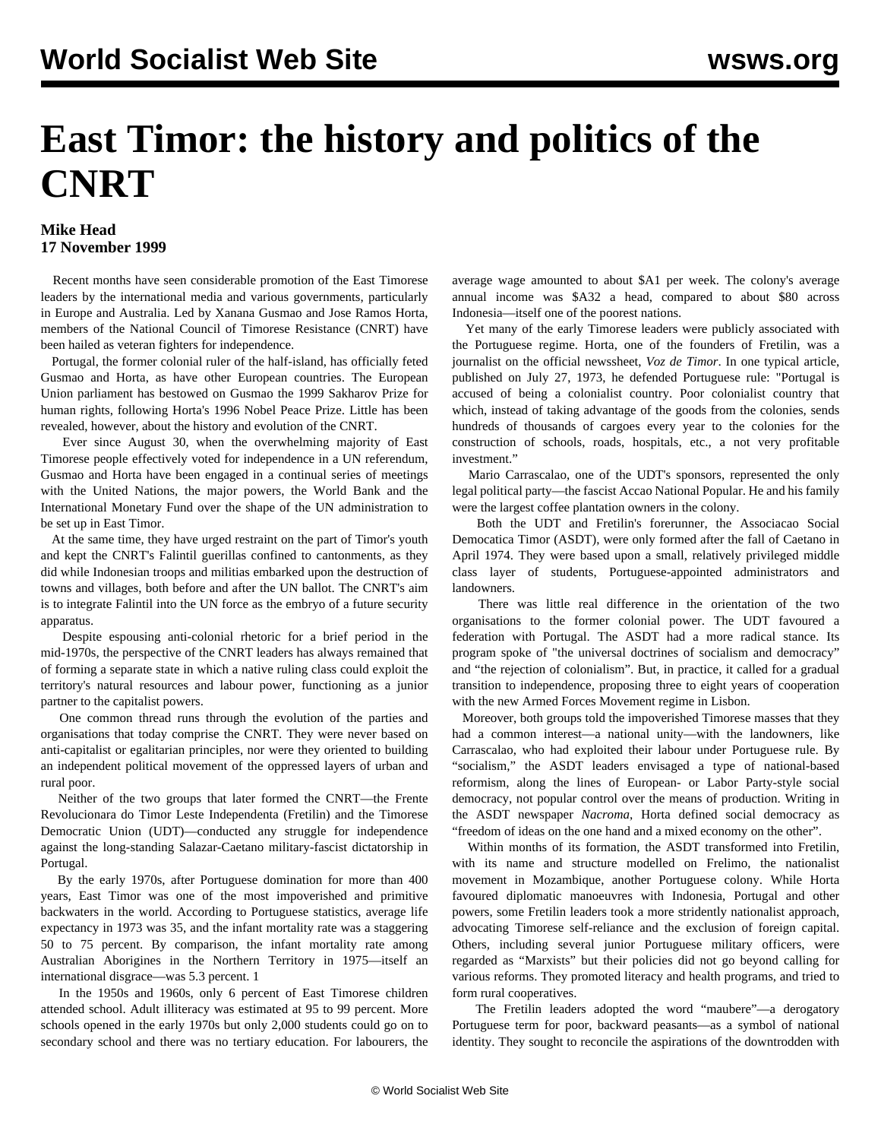## **East Timor: the history and politics of the CNRT**

## **Mike Head 17 November 1999**

 Recent months have seen considerable promotion of the East Timorese leaders by the international media and various governments, particularly in Europe and Australia. Led by Xanana Gusmao and Jose Ramos Horta, members of the National Council of Timorese Resistance (CNRT) have been hailed as veteran fighters for independence.

 Portugal, the former colonial ruler of the half-island, has officially feted Gusmao and Horta, as have other European countries. The European Union parliament has bestowed on Gusmao the 1999 Sakharov Prize for human rights, following Horta's 1996 Nobel Peace Prize. Little has been revealed, however, about the history and evolution of the CNRT.

 Ever since August 30, when the overwhelming majority of East Timorese people effectively voted for independence in a UN referendum, Gusmao and Horta have been engaged in a continual series of meetings with the United Nations, the major powers, the World Bank and the International Monetary Fund over the shape of the UN administration to be set up in East Timor.

 At the same time, they have urged restraint on the part of Timor's youth and kept the CNRT's Falintil guerillas confined to cantonments, as they did while Indonesian troops and militias embarked upon the destruction of towns and villages, both before and after the UN ballot. The CNRT's aim is to integrate Falintil into the UN force as the embryo of a future security apparatus.

 Despite espousing anti-colonial rhetoric for a brief period in the mid-1970s, the perspective of the CNRT leaders has always remained that of forming a separate state in which a native ruling class could exploit the territory's natural resources and labour power, functioning as a junior partner to the capitalist powers.

 One common thread runs through the evolution of the parties and organisations that today comprise the CNRT. They were never based on anti-capitalist or egalitarian principles, nor were they oriented to building an independent political movement of the oppressed layers of urban and rural poor.

 Neither of the two groups that later formed the CNRT—the Frente Revolucionara do Timor Leste Independenta (Fretilin) and the Timorese Democratic Union (UDT)—conducted any struggle for independence against the long-standing Salazar-Caetano military-fascist dictatorship in Portugal.

 By the early 1970s, after Portuguese domination for more than 400 years, East Timor was one of the most impoverished and primitive backwaters in the world. According to Portuguese statistics, average life expectancy in 1973 was 35, and the infant mortality rate was a staggering 50 to 75 percent. By comparison, the infant mortality rate among Australian Aborigines in the Northern Territory in 1975—itself an international disgrace—was 5.3 percent. 1

 In the 1950s and 1960s, only 6 percent of East Timorese children attended school. Adult illiteracy was estimated at 95 to 99 percent. More schools opened in the early 1970s but only 2,000 students could go on to secondary school and there was no tertiary education. For labourers, the

average wage amounted to about \$A1 per week. The colony's average annual income was \$A32 a head, compared to about \$80 across Indonesia—itself one of the poorest nations.

 Yet many of the early Timorese leaders were publicly associated with the Portuguese regime. Horta, one of the founders of Fretilin, was a journalist on the official newssheet, *Voz de Timor*. In one typical article, published on July 27, 1973, he defended Portuguese rule: "Portugal is accused of being a colonialist country. Poor colonialist country that which, instead of taking advantage of the goods from the colonies, sends hundreds of thousands of cargoes every year to the colonies for the construction of schools, roads, hospitals, etc., a not very profitable investment."

 Mario Carrascalao, one of the UDT's sponsors, represented the only legal political party—the fascist Accao National Popular. He and his family were the largest coffee plantation owners in the colony.

 Both the UDT and Fretilin's forerunner, the Associacao Social Democatica Timor (ASDT), were only formed after the fall of Caetano in April 1974. They were based upon a small, relatively privileged middle class layer of students, Portuguese-appointed administrators and landowners.

 There was little real difference in the orientation of the two organisations to the former colonial power. The UDT favoured a federation with Portugal. The ASDT had a more radical stance. Its program spoke of "the universal doctrines of socialism and democracy" and "the rejection of colonialism". But, in practice, it called for a gradual transition to independence, proposing three to eight years of cooperation with the new Armed Forces Movement regime in Lisbon.

 Moreover, both groups told the impoverished Timorese masses that they had a common interest—a national unity—with the landowners, like Carrascalao, who had exploited their labour under Portuguese rule. By "socialism," the ASDT leaders envisaged a type of national-based reformism, along the lines of European- or Labor Party-style social democracy, not popular control over the means of production. Writing in the ASDT newspaper *Nacroma*, Horta defined social democracy as "freedom of ideas on the one hand and a mixed economy on the other".

 Within months of its formation, the ASDT transformed into Fretilin, with its name and structure modelled on Frelimo, the nationalist movement in Mozambique, another Portuguese colony. While Horta favoured diplomatic manoeuvres with Indonesia, Portugal and other powers, some Fretilin leaders took a more stridently nationalist approach, advocating Timorese self-reliance and the exclusion of foreign capital. Others, including several junior Portuguese military officers, were regarded as "Marxists" but their policies did not go beyond calling for various reforms. They promoted literacy and health programs, and tried to form rural cooperatives.

 The Fretilin leaders adopted the word "maubere"—a derogatory Portuguese term for poor, backward peasants—as a symbol of national identity. They sought to reconcile the aspirations of the downtrodden with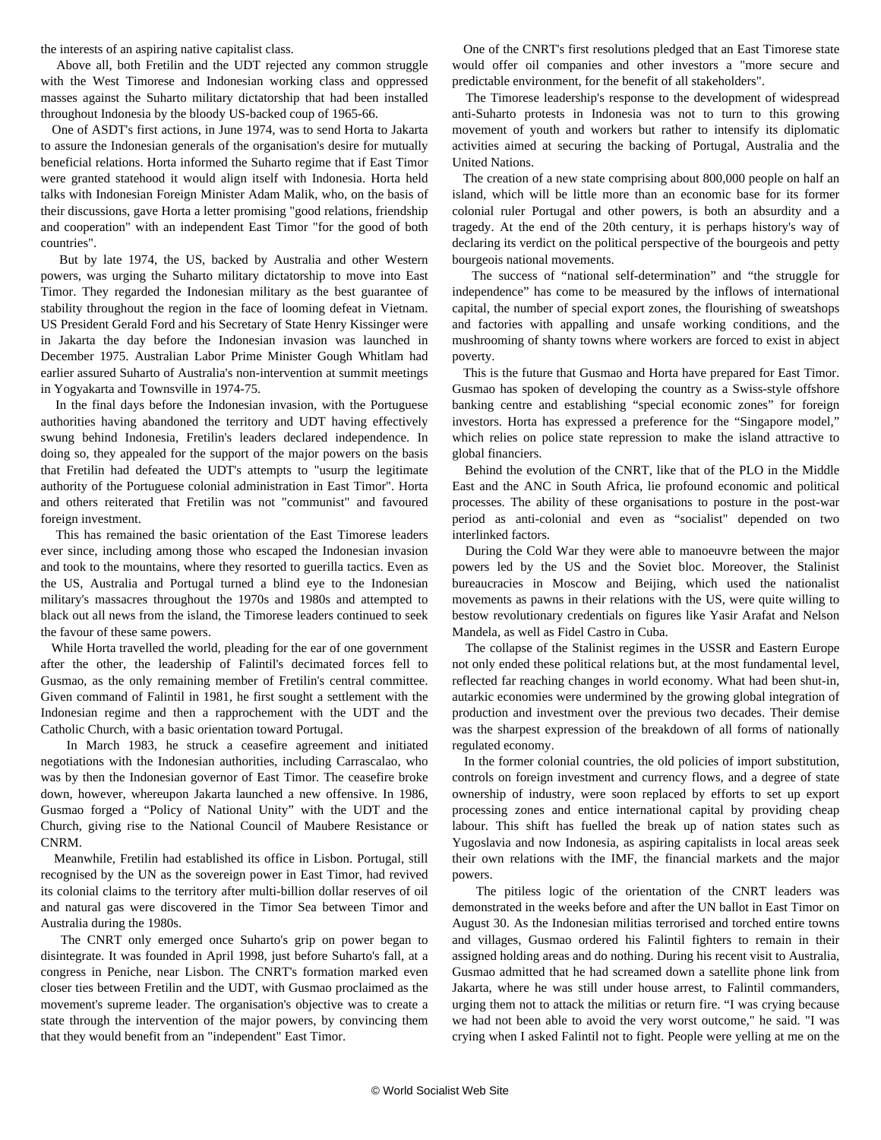the interests of an aspiring native capitalist class.

 Above all, both Fretilin and the UDT rejected any common struggle with the West Timorese and Indonesian working class and oppressed masses against the Suharto military dictatorship that had been installed throughout Indonesia by the bloody US-backed coup of 1965-66.

 One of ASDT's first actions, in June 1974, was to send Horta to Jakarta to assure the Indonesian generals of the organisation's desire for mutually beneficial relations. Horta informed the Suharto regime that if East Timor were granted statehood it would align itself with Indonesia. Horta held talks with Indonesian Foreign Minister Adam Malik, who, on the basis of their discussions, gave Horta a letter promising "good relations, friendship and cooperation" with an independent East Timor "for the good of both countries".

 But by late 1974, the US, backed by Australia and other Western powers, was urging the Suharto military dictatorship to move into East Timor. They regarded the Indonesian military as the best guarantee of stability throughout the region in the face of looming defeat in Vietnam. US President Gerald Ford and his Secretary of State Henry Kissinger were in Jakarta the day before the Indonesian invasion was launched in December 1975. Australian Labor Prime Minister Gough Whitlam had earlier assured Suharto of Australia's non-intervention at summit meetings in Yogyakarta and Townsville in 1974-75.

 In the final days before the Indonesian invasion, with the Portuguese authorities having abandoned the territory and UDT having effectively swung behind Indonesia, Fretilin's leaders declared independence. In doing so, they appealed for the support of the major powers on the basis that Fretilin had defeated the UDT's attempts to "usurp the legitimate authority of the Portuguese colonial administration in East Timor". Horta and others reiterated that Fretilin was not "communist" and favoured foreign investment.

 This has remained the basic orientation of the East Timorese leaders ever since, including among those who escaped the Indonesian invasion and took to the mountains, where they resorted to guerilla tactics. Even as the US, Australia and Portugal turned a blind eye to the Indonesian military's massacres throughout the 1970s and 1980s and attempted to black out all news from the island, the Timorese leaders continued to seek the favour of these same powers.

 While Horta travelled the world, pleading for the ear of one government after the other, the leadership of Falintil's decimated forces fell to Gusmao, as the only remaining member of Fretilin's central committee. Given command of Falintil in 1981, he first sought a settlement with the Indonesian regime and then a rapprochement with the UDT and the Catholic Church, with a basic orientation toward Portugal.

 In March 1983, he struck a ceasefire agreement and initiated negotiations with the Indonesian authorities, including Carrascalao, who was by then the Indonesian governor of East Timor. The ceasefire broke down, however, whereupon Jakarta launched a new offensive. In 1986, Gusmao forged a "Policy of National Unity" with the UDT and the Church, giving rise to the National Council of Maubere Resistance or CNRM.

 Meanwhile, Fretilin had established its office in Lisbon. Portugal, still recognised by the UN as the sovereign power in East Timor, had revived its colonial claims to the territory after multi-billion dollar reserves of oil and natural gas were discovered in the Timor Sea between Timor and Australia during the 1980s.

 The CNRT only emerged once Suharto's grip on power began to disintegrate. It was founded in April 1998, just before Suharto's fall, at a congress in Peniche, near Lisbon. The CNRT's formation marked even closer ties between Fretilin and the UDT, with Gusmao proclaimed as the movement's supreme leader. The organisation's objective was to create a state through the intervention of the major powers, by convincing them that they would benefit from an "independent" East Timor.

 One of the CNRT's first resolutions pledged that an East Timorese state would offer oil companies and other investors a "more secure and predictable environment, for the benefit of all stakeholders".

 The Timorese leadership's response to the development of widespread anti-Suharto protests in Indonesia was not to turn to this growing movement of youth and workers but rather to intensify its diplomatic activities aimed at securing the backing of Portugal, Australia and the United Nations.

 The creation of a new state comprising about 800,000 people on half an island, which will be little more than an economic base for its former colonial ruler Portugal and other powers, is both an absurdity and a tragedy. At the end of the 20th century, it is perhaps history's way of declaring its verdict on the political perspective of the bourgeois and petty bourgeois national movements.

 The success of "national self-determination" and "the struggle for independence" has come to be measured by the inflows of international capital, the number of special export zones, the flourishing of sweatshops and factories with appalling and unsafe working conditions, and the mushrooming of shanty towns where workers are forced to exist in abject poverty.

 This is the future that Gusmao and Horta have prepared for East Timor. Gusmao has spoken of developing the country as a Swiss-style offshore banking centre and establishing "special economic zones" for foreign investors. Horta has expressed a preference for the "Singapore model," which relies on police state repression to make the island attractive to global financiers.

 Behind the evolution of the CNRT, like that of the PLO in the Middle East and the ANC in South Africa, lie profound economic and political processes. The ability of these organisations to posture in the post-war period as anti-colonial and even as "socialist" depended on two interlinked factors.

 During the Cold War they were able to manoeuvre between the major powers led by the US and the Soviet bloc. Moreover, the Stalinist bureaucracies in Moscow and Beijing, which used the nationalist movements as pawns in their relations with the US, were quite willing to bestow revolutionary credentials on figures like Yasir Arafat and Nelson Mandela, as well as Fidel Castro in Cuba.

 The collapse of the Stalinist regimes in the USSR and Eastern Europe not only ended these political relations but, at the most fundamental level, reflected far reaching changes in world economy. What had been shut-in, autarkic economies were undermined by the growing global integration of production and investment over the previous two decades. Their demise was the sharpest expression of the breakdown of all forms of nationally regulated economy.

 In the former colonial countries, the old policies of import substitution, controls on foreign investment and currency flows, and a degree of state ownership of industry, were soon replaced by efforts to set up export processing zones and entice international capital by providing cheap labour. This shift has fuelled the break up of nation states such as Yugoslavia and now Indonesia, as aspiring capitalists in local areas seek their own relations with the IMF, the financial markets and the major powers.

 The pitiless logic of the orientation of the CNRT leaders was demonstrated in the weeks before and after the UN ballot in East Timor on August 30. As the Indonesian militias terrorised and torched entire towns and villages, Gusmao ordered his Falintil fighters to remain in their assigned holding areas and do nothing. During his recent visit to Australia, Gusmao admitted that he had screamed down a satellite phone link from Jakarta, where he was still under house arrest, to Falintil commanders, urging them not to attack the militias or return fire. "I was crying because we had not been able to avoid the very worst outcome," he said. "I was crying when I asked Falintil not to fight. People were yelling at me on the